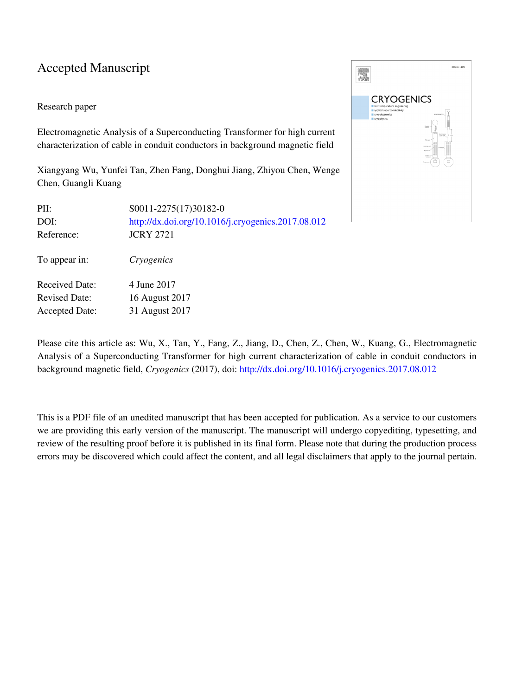## Accepted Manuscript

### Research paper

Electromagnetic Analysis of a Superconducting Transformer for high current characterization of cable in conduit conductors in background magnetic field

Xiangyang Wu, Yunfei Tan, Zhen Fang, Donghui Jiang, Zhiyou Chen, Wenge Chen, Guangli Kuang

| PII:<br>DOI:<br>Reference: | S0011-2275(17)30182-0<br>http://dx.doi.org/10.1016/j.cryogenics.2017.08.012<br><b>JCRY 2721</b> |
|----------------------------|-------------------------------------------------------------------------------------------------|
| To appear in:              | Cryogenics                                                                                      |
| <b>Received Date:</b>      | 4 June 2017                                                                                     |
| <b>Revised Date:</b>       | 16 August 2017                                                                                  |
| <b>Accepted Date:</b>      | 31 August 2017                                                                                  |



Please cite this article as: Wu, X., Tan, Y., Fang, Z., Jiang, D., Chen, Z., Chen, W., Kuang, G., Electromagnetic Analysis of a Superconducting Transformer for high current characterization of cable in conduit conductors in background magnetic field, *Cryogenics* (2017), doi: [http://dx.doi.org/10.1016/j.cryogenics.2017.08.012](http://dx.doi.org/http://dx.doi.org/10.1016/j.cryogenics.2017.08.012)

This is a PDF file of an unedited manuscript that has been accepted for publication. As a service to our customers we are providing this early version of the manuscript. The manuscript will undergo copyediting, typesetting, and review of the resulting proof before it is published in its final form. Please note that during the production process errors may be discovered which could affect the content, and all legal disclaimers that apply to the journal pertain.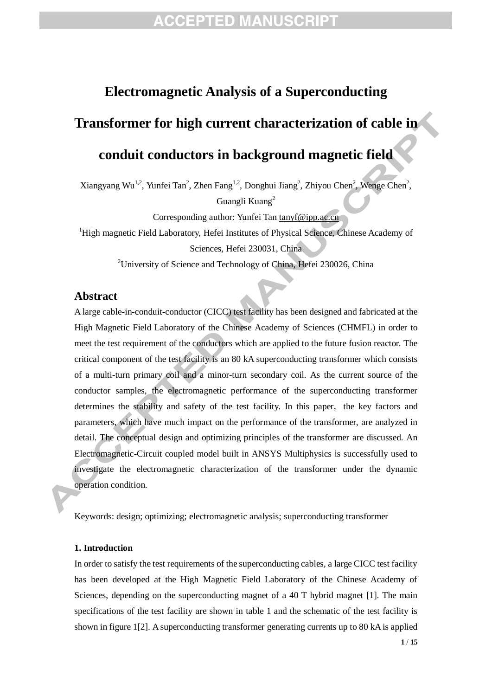# **ACCEPTED MANUSCRIPT**

## **Electromagnetic Analysis of a Superconducting**

# **Transformer for high current characterization of cable in**

## **conduit conductors in background magnetic field**

Xiangyang Wu<sup>1,2</sup>, Yunfei Tan<sup>2</sup>, Zhen Fang<sup>1,2</sup>, Donghui Jiang<sup>2</sup>, Zhiyou Chen<sup>2</sup>, Wenge Chen<sup>2</sup>,

Guangli Kuang<sup>2</sup>

Corresponding author: Yunfei Tan [tanyf@ipp.ac.cn](mailto:tanyf@ipp.ac.cn)

<sup>1</sup>High magnetic Field Laboratory, Hefei Institutes of Physical Science, Chinese Academy of Sciences, Hefei 230031, China

<sup>2</sup>University of Science and Technology of China, Hefei 230026, China

### **Abstract**

A large cable-in-conduit-conductor (CICC) test facility has been designed and fabricated at the High Magnetic Field Laboratory of the Chinese Academy of Sciences (CHMFL) in order to meet the test requirement of the conductors which are applied to the future fusion reactor. The critical component of the test facility is an 80 kA superconducting transformer which consists of a multi-turn primary coil and a minor-turn secondary coil. As the current source of the conductor samples, the electromagnetic performance of the superconducting transformer determines the stability and safety of the test facility. In this paper, the key factors and parameters, which have much impact on the performance of the transformer, are analyzed in detail. The conceptual design and optimizing principles of the transformer are discussed. An Electromagnetic-Circuit coupled model built in ANSYS Multiphysics is successfully used to investigate the electromagnetic characterization of the transformer under the dynamic operation condition.

Keywords: design; optimizing; electromagnetic analysis; superconducting transformer

### **1. Introduction**

In order to satisfy the test requirements of the superconducting cables, a large CICC test facility has been developed at the High Magnetic Field Laboratory of the Chinese Academy of Sciences, depending on the superconducting magnet of a 40 T hybrid magnet [1]. The main specifications of the test facility are shown in table 1 and the schematic of the test facility is shown in figure 1[2]. A superconducting transformer generating currents up to 80 kA is applied